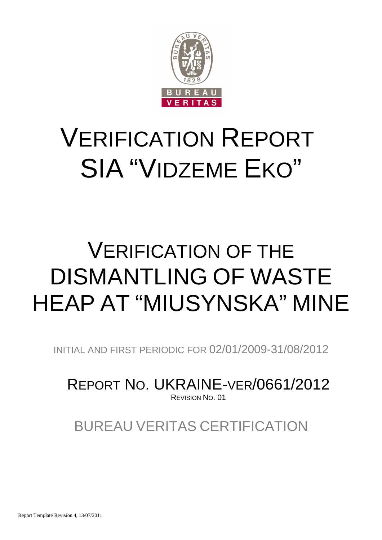

# VERIFICATION REPORT SIA "VIDZEME EKO"

# VERIFICATION OF THE DISMANTLING OF WASTE HEAP AT "MIUSYNSKA" MINE

INITIAL AND FIRST PERIODIC FOR 02/01/2009-31/08/2012

REPORT NO. UKRAINE-VER/0661/2012 REVISION NO. 01

BUREAU VERITAS CERTIFICATION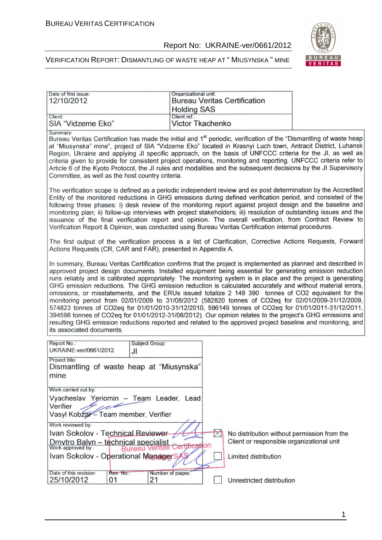#### Report No: UKRAINE-ver/0661/2012



| Date of first issue:<br>12/10/2012                                                                                                                                                                                                                                                                                                                                                                                                                                                                                                                                                                                                                                                                                                                                                                                                                                                                                                                                                                                                     | Organizational unit:<br><b>Bureau Veritas Certification</b><br><b>Holding SAS</b> |                                                                                                                  |
|----------------------------------------------------------------------------------------------------------------------------------------------------------------------------------------------------------------------------------------------------------------------------------------------------------------------------------------------------------------------------------------------------------------------------------------------------------------------------------------------------------------------------------------------------------------------------------------------------------------------------------------------------------------------------------------------------------------------------------------------------------------------------------------------------------------------------------------------------------------------------------------------------------------------------------------------------------------------------------------------------------------------------------------|-----------------------------------------------------------------------------------|------------------------------------------------------------------------------------------------------------------|
| Client:<br>SIA "Vidzeme Eko"                                                                                                                                                                                                                                                                                                                                                                                                                                                                                                                                                                                                                                                                                                                                                                                                                                                                                                                                                                                                           | Client ref.:<br><b>Victor Tkachenko</b>                                           |                                                                                                                  |
| Summary:<br>Bureau Veritas Certification has made the initial and 1 <sup>st</sup> periodic, verification of the "Dismantling of waste heap<br>at "Miusynska" mine", project of SIA "Vidzeme Eko" located in Krasnyi Luch town, Antracit District, Luhansk<br>Region, Ukraine and applying JI specific approach, on the basis of UNFCCC criteria for the JI, as well as<br>criteria given to provide for consistent project operations, monitoring and reporting. UNFCCC criteria refer to<br>Article 6 of the Kyoto Protocol, the JI rules and modalities and the subsequent decisions by the JI Supervisory<br>Committee, as well as the host country criteria.                                                                                                                                                                                                                                                                                                                                                                       |                                                                                   |                                                                                                                  |
| The verification scope is defined as a periodic independent review and ex post determination by the Accredited<br>Entity of the monitored reductions in GHG emissions during defined verification period, and consisted of the<br>following three phases: i) desk review of the monitoring report against project design and the baseline and<br>monitoring plan; ii) follow-up interviews with project stakeholders; iii) resolution of outstanding issues and the<br>issuance of the final verification report and opinion. The overall verification, from Contract Review to<br>Verification Report & Opinion, was conducted using Bureau Veritas Certification internal procedures.                                                                                                                                                                                                                                                                                                                                                |                                                                                   |                                                                                                                  |
| The first output of the verification process is a list of Clarification, Corrective Actions Requests, Forward<br>Actions Requests (CR, CAR and FAR), presented in Appendix A.                                                                                                                                                                                                                                                                                                                                                                                                                                                                                                                                                                                                                                                                                                                                                                                                                                                          |                                                                                   |                                                                                                                  |
| In summary, Bureau Veritas Certification confirms that the project is implemented as planned and described in<br>approved project design documents. Installed equipment being essential for generating emission reduction<br>runs reliably and is calibrated appropriately. The monitoring system is in place and the project is generating<br>GHG emission reductions. The GHG emission reduction is calculated accurately and without material errors,<br>omissions, or misstatements, and the ERUs issued totalize 2 148 390 tonnes of CO2 equivalent for the<br>monitoring period from 02/01/2009 to 31/08/2012 (582820 tonnes of CO2eq for 02/01/2009-31/12/2009,<br>574823 tonnes of CO2eq for 01/01/2010-31/12/2010, 596149 tonnes of CO2eq for 01/01/2011-31/12/2011,<br>394598 tonnes of CO2eq for 01/01/2012-31/08/2012). Our opinion relates to the project's GHG emissions and<br>resulting GHG emission reductions reported and related to the approved project baseline and monitoring, and<br>its associated documents. |                                                                                   |                                                                                                                  |
| Report No.:<br>Subject Group:<br>UKRAINE-ver/0661/2012<br>JI                                                                                                                                                                                                                                                                                                                                                                                                                                                                                                                                                                                                                                                                                                                                                                                                                                                                                                                                                                           |                                                                                   |                                                                                                                  |
| Project title:<br>Dismantling of waste heap at "Miusynska"<br>mine                                                                                                                                                                                                                                                                                                                                                                                                                                                                                                                                                                                                                                                                                                                                                                                                                                                                                                                                                                     |                                                                                   |                                                                                                                  |
| Work carried out by:<br>Vyacheslav Yeriomin - Team Leader, Lead<br>Verifier<br>Vasyl Kobzar - Team member, Verifier                                                                                                                                                                                                                                                                                                                                                                                                                                                                                                                                                                                                                                                                                                                                                                                                                                                                                                                    |                                                                                   |                                                                                                                  |
| Work reviewed by:<br>Ivan Sokolov - Technical Reviewer<br><b>Dmytro Balyn – technical specialist</b><br>Work approved by: <b>Rureau Veritas</b><br><b>Bureau Veritas</b><br>Ivan Sokolov - Operational ManagerS                                                                                                                                                                                                                                                                                                                                                                                                                                                                                                                                                                                                                                                                                                                                                                                                                        | $\bowtie$<br>Certification                                                        | No distribution without permission from the<br>Client or responsible organizational unit<br>Limited distribution |
| Date of this revision:<br>Rev. No.:<br>25/10/2012<br>01<br>21                                                                                                                                                                                                                                                                                                                                                                                                                                                                                                                                                                                                                                                                                                                                                                                                                                                                                                                                                                          | Number of pages:                                                                  | Unrestricted distribution                                                                                        |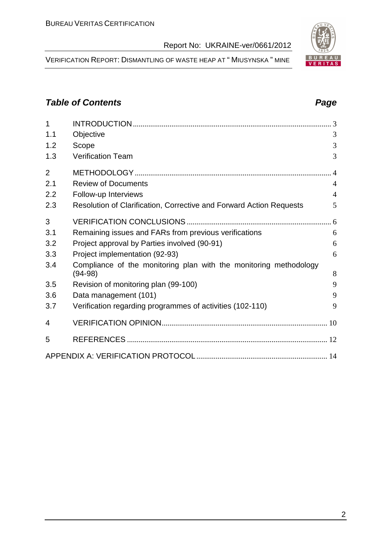VERIFICATION REPORT: DISMANTLING OF WASTE HEAP AT " MIUSYNSKA " MINE

# **Table of Contents Page 2014**

| 1              |                                                                                |                |
|----------------|--------------------------------------------------------------------------------|----------------|
| 1.1            | Objective                                                                      | 3              |
| 1.2            | Scope                                                                          | 3              |
| 1.3            | <b>Verification Team</b>                                                       | 3              |
| $\overline{2}$ |                                                                                |                |
| 2.1            | <b>Review of Documents</b>                                                     | $\overline{A}$ |
| 2.2            | Follow-up Interviews                                                           | $\overline{4}$ |
| 2.3            | Resolution of Clarification, Corrective and Forward Action Requests            | 5              |
| 3              |                                                                                |                |
| 3.1            | Remaining issues and FARs from previous verifications                          | 6              |
| 3.2            | Project approval by Parties involved (90-91)                                   | 6              |
| 3.3            | Project implementation (92-93)                                                 | 6              |
| 3.4            | Compliance of the monitoring plan with the monitoring methodology<br>$(94-98)$ | 8              |
| 3.5            | Revision of monitoring plan (99-100)                                           | 9              |
| 3.6            | Data management (101)                                                          | 9              |
| 3.7            | Verification regarding programmes of activities (102-110)                      | 9              |
| 4              |                                                                                |                |
| 5              |                                                                                |                |
|                |                                                                                |                |

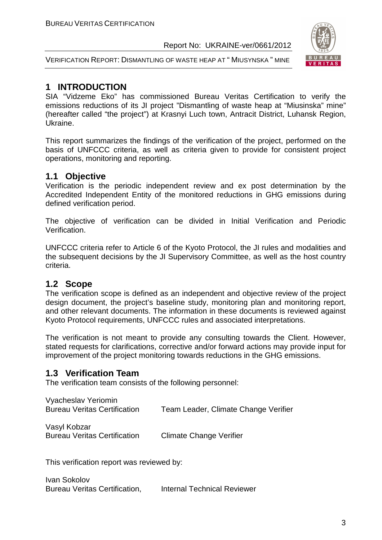

VERIFICATION REPORT: DISMANTLING OF WASTE HEAP AT " MIUSYNSKA " MINE

# **1 INTRODUCTION**

SIA "Vidzeme Eko" has commissioned Bureau Veritas Certification to verify the emissions reductions of its JI project "Dismantling of waste heap at "Miusinska" mine" (hereafter called "the project") at Krasnyi Luch town, Antracit District, Luhansk Region, Ukraine.

This report summarizes the findings of the verification of the project, performed on the basis of UNFCCC criteria, as well as criteria given to provide for consistent project operations, monitoring and reporting.

# **1.1 Objective**

Verification is the periodic independent review and ex post determination by the Accredited Independent Entity of the monitored reductions in GHG emissions during defined verification period.

The objective of verification can be divided in Initial Verification and Periodic Verification.

UNFCCC criteria refer to Article 6 of the Kyoto Protocol, the JI rules and modalities and the subsequent decisions by the JI Supervisory Committee, as well as the host country criteria.

# **1.2 Scope**

The verification scope is defined as an independent and objective review of the project design document, the project's baseline study, monitoring plan and monitoring report, and other relevant documents. The information in these documents is reviewed against Kyoto Protocol requirements, UNFCCC rules and associated interpretations.

The verification is not meant to provide any consulting towards the Client. However, stated requests for clarifications, corrective and/or forward actions may provide input for improvement of the project monitoring towards reductions in the GHG emissions.

# **1.3 Verification Team**

The verification team consists of the following personnel:

| Vyacheslav Yeriomin                 |                                      |
|-------------------------------------|--------------------------------------|
| <b>Bureau Veritas Certification</b> | Team Leader, Climate Change Verifier |

Vasyl Kobzar Bureau Veritas Certification Climate Change Verifier

This verification report was reviewed by:

Ivan Sokolov Bureau Veritas Certification, Internal Technical Reviewer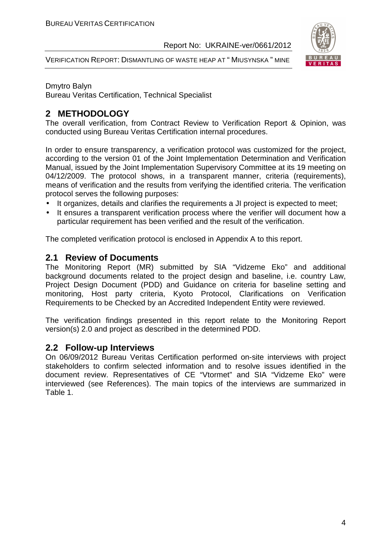

VERIFICATION REPORT: DISMANTLING OF WASTE HEAP AT " MIUSYNSKA " MINE

#### Dmytro Balyn

Bureau Veritas Certification, Technical Specialist

# **2 METHODOLOGY**

The overall verification, from Contract Review to Verification Report & Opinion, was conducted using Bureau Veritas Certification internal procedures.

In order to ensure transparency, a verification protocol was customized for the project, according to the version 01 of the Joint Implementation Determination and Verification Manual, issued by the Joint Implementation Supervisory Committee at its 19 meeting on 04/12/2009. The protocol shows, in a transparent manner, criteria (requirements), means of verification and the results from verifying the identified criteria. The verification protocol serves the following purposes:

- It organizes, details and clarifies the requirements a JI project is expected to meet;
- It ensures a transparent verification process where the verifier will document how a particular requirement has been verified and the result of the verification.

The completed verification protocol is enclosed in Appendix A to this report.

#### **2.1 Review of Documents**

The Monitoring Report (MR) submitted by SIA "Vidzeme Eko" and additional background documents related to the project design and baseline, i.e. country Law, Project Design Document (PDD) and Guidance on criteria for baseline setting and monitoring, Host party criteria, Kyoto Protocol, Clarifications on Verification Requirements to be Checked by an Accredited Independent Entity were reviewed.

The verification findings presented in this report relate to the Monitoring Report version(s) 2.0 and project as described in the determined PDD.

#### **2.2 Follow-up Interviews**

On 06/09/2012 Bureau Veritas Certification performed on-site interviews with project stakeholders to confirm selected information and to resolve issues identified in the document review. Representatives of CE "Vtormet" and SIA "Vidzeme Eko" were interviewed (see References). The main topics of the interviews are summarized in Table 1.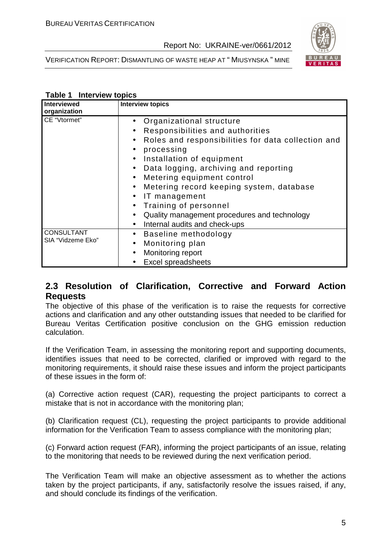



#### **Table 1 Interview topics**

| Interviewed<br>organization            | <b>Interview topics</b>                                                                                                                                                                                                                                                                                                                                                                                                                                                                                                                                                 |
|----------------------------------------|-------------------------------------------------------------------------------------------------------------------------------------------------------------------------------------------------------------------------------------------------------------------------------------------------------------------------------------------------------------------------------------------------------------------------------------------------------------------------------------------------------------------------------------------------------------------------|
| CE "Vtormet"                           | Organizational structure<br>$\bullet$<br>Responsibilities and authorities<br>$\bullet$<br>Roles and responsibilities for data collection and<br>$\bullet$<br>processing<br>$\bullet$<br>Installation of equipment<br>$\bullet$<br>Data logging, archiving and reporting<br>$\bullet$<br>Metering equipment control<br>$\bullet$<br>Metering record keeping system, database<br>$\bullet$<br>IT management<br>$\bullet$<br>Training of personnel<br>$\bullet$<br>Quality management procedures and technology<br>$\bullet$<br>Internal audits and check-ups<br>$\bullet$ |
| <b>CONSULTANT</b><br>SIA "Vidzeme Eko" | Baseline methodology<br>$\bullet$<br>Monitoring plan<br>$\bullet$<br>Monitoring report<br>$\bullet$<br><b>Excel spreadsheets</b>                                                                                                                                                                                                                                                                                                                                                                                                                                        |

# **2.3 Resolution of Clarification, Corrective and Forward Action Requests**

The objective of this phase of the verification is to raise the requests for corrective actions and clarification and any other outstanding issues that needed to be clarified for Bureau Veritas Certification positive conclusion on the GHG emission reduction calculation.

If the Verification Team, in assessing the monitoring report and supporting documents, identifies issues that need to be corrected, clarified or improved with regard to the monitoring requirements, it should raise these issues and inform the project participants of these issues in the form of:

(a) Corrective action request (CAR), requesting the project participants to correct a mistake that is not in accordance with the monitoring plan;

(b) Clarification request (CL), requesting the project participants to provide additional information for the Verification Team to assess compliance with the monitoring plan;

(c) Forward action request (FAR), informing the project participants of an issue, relating to the monitoring that needs to be reviewed during the next verification period.

The Verification Team will make an objective assessment as to whether the actions taken by the project participants, if any, satisfactorily resolve the issues raised, if any, and should conclude its findings of the verification.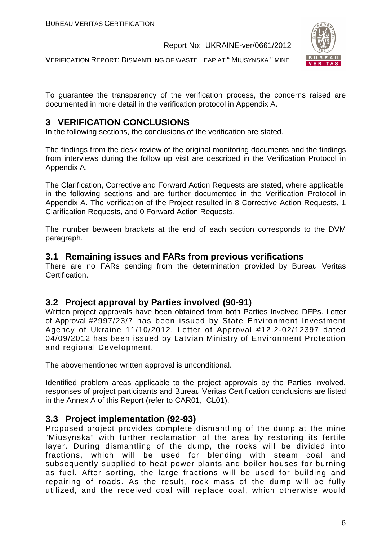VERIFICATION REPORT: DISMANTLING OF WASTE HEAP AT " MIUSYNSKA " MINE



To guarantee the transparency of the verification process, the concerns raised are documented in more detail in the verification protocol in Appendix A.

# **3 VERIFICATION CONCLUSIONS**

In the following sections, the conclusions of the verification are stated.

The findings from the desk review of the original monitoring documents and the findings from interviews during the follow up visit are described in the Verification Protocol in Appendix A.

The Clarification, Corrective and Forward Action Requests are stated, where applicable, in the following sections and are further documented in the Verification Protocol in Appendix A. The verification of the Project resulted in 8 Corrective Action Requests, 1 Clarification Requests, and 0 Forward Action Requests.

The number between brackets at the end of each section corresponds to the DVM paragraph.

#### **3.1 Remaining issues and FARs from previous verifications**

There are no FARs pending from the determination provided by Bureau Veritas Certification.

### **3.2 Project approval by Parties involved (90-91)**

Written project approvals have been obtained from both Parties Involved DFPs. Letter of Approval #2997/23/7 has been issued by State Environment Investment Agency of Ukraine 11/10/2012. Letter of Approval #12.2-02/12397 dated 04/09/2012 has been issued by Latvian Ministry of Environment Protection and regional Development.

The abovementioned written approval is unconditional.

Identified problem areas applicable to the project approvals by the Parties Involved, responses of project participants and Bureau Veritas Certification conclusions are listed in the Annex A of this Report (refer to CAR01, CL01).

### **3.3 Project implementation (92-93)**

Proposed project provides complete dismantling of the dump at the mine "Miusynska" with further reclamation of the area by restoring its fertile layer. During dismantling of the dump, the rocks will be divided into fractions, which will be used for blending with steam coal and subsequently supplied to heat power plants and boiler houses for burning as fuel. After sorting, the large fractions will be used for building and repairing of roads. As the result, rock mass of the dump will be fully utilized, and the received coal will replace coal, which otherwise would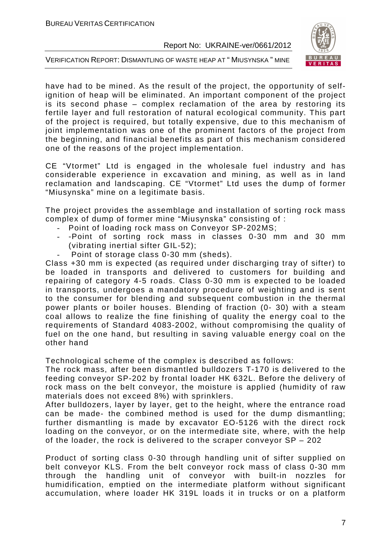

VERIFICATION REPORT: DISMANTLING OF WASTE HEAP AT " MIUSYNSKA " MINE

have had to be mined. As the result of the project, the opportunity of selfignition of heap will be eliminated. An important component of the project is its second phase – complex reclamation of the area by restoring its fertile layer and full restoration of natural ecological community. This part of the project is required, but totally expensive, due to this mechanism of joint implementation was one of the prominent factors of the project from the beginning, and financial benefits as part of this mechanism considered one of the reasons of the project implementation.

CE "Vtormet" Ltd is engaged in the wholesale fuel industry and has considerable experience in excavation and mining, as well as in land reclamation and landscaping. CE "Vtormet" Ltd uses the dump of former "Miusynska" mine on a legitimate basis.

The project provides the assemblage and installation of sorting rock mass complex of dump of former mine "Miusynska" consisting of :

- Point of loading rock mass on Conveyor SP-202MS;
- -Point of sorting rock mass in classes 0-30 mm and 30 mm (vibrating inertial sifter GIL-52);
- Point of storage class 0-30 mm (sheds).

Class +30 mm is expected (as required under discharging tray of sifter) to be loaded in transports and delivered to customers for building and repairing of category 4-5 roads. Class 0-30 mm is expected to be loaded in transports, undergoes a mandatory procedure of weighting and is sent to the consumer for blending and subsequent combustion in the thermal power plants or boiler houses. Blending of fraction (0- 30) with a steam coal allows to realize the fine finishing of quality the energy coal to the requirements of Standard 4083-2002, without compromising the quality of fuel on the one hand, but resulting in saving valuable energy coal on the other hand

Technological scheme of the complex is described as follows:

The rock mass, after been dismantled bulldozers T-170 is delivered to the feeding conveyor SP-202 by frontal loader HK 632L. Before the delivery of rock mass on the belt conveyor, the moisture is applied (humidity of raw materials does not exceed 8%) with sprinklers.

After bulldozers, layer by layer, get to the height, where the entrance road can be made- the combined method is used for the dump dismantling; further dismantling is made by excavator EO-5126 with the direct rock loading on the conveyor, or on the intermediate site, where, with the help of the loader, the rock is delivered to the scraper conveyor SP – 202

Product of sorting class 0-30 through handling unit of sifter supplied on belt conveyor KLS. From the belt conveyor rock mass of class 0-30 mm through the handling unit of conveyor with built-in nozzles for humidification, emptied on the intermediate platform without significant accumulation, where loader HK 319L loads it in trucks or on a platform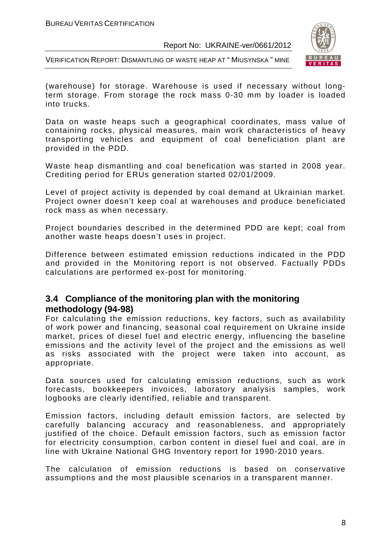

VERIFICATION REPORT: DISMANTLING OF WASTE HEAP AT " MIUSYNSKA " MINE

(warehouse) for storage. Warehouse is used if necessary without longterm storage. From storage the rock mass 0-30 mm by loader is loaded into trucks.

Data on waste heaps such a geographical coordinates, mass value of containing rocks, physical measures, main work characteristics of heavy transporting vehicles and equipment of coal beneficiation plant are provided in the PDD.

Waste heap dismantling and coal benefication was started in 2008 year. Crediting period for ERUs generation started 02/01/2009.

Level of project activity is depended by coal demand at Ukrainian market. Project owner doesn't keep coal at warehouses and produce beneficiated rock mass as when necessary.

Project boundaries described in the determined PDD are kept; coal from another waste heaps doesn't uses in project.

Difference between estimated emission reductions indicated in the PDD and provided in the Monitoring report is not observed. Factually PDDs calculations are performed ex-post for monitoring.

#### **3.4 Compliance of the monitoring plan with the monitoring methodology (94-98)**

For calculating the emission reductions, key factors, such as availability of work power and financing, seasonal coal requirement on Ukraine inside market, prices of diesel fuel and electric energy, influencing the baseline emissions and the activity level of the project and the emissions as well as risks associated with the project were taken into account, as appropriate.

Data sources used for calculating emission reductions, such as work forecasts, bookkeepers invoices, laboratory analysis samples, work logbooks are clearly identified, reliable and transparent.

Emission factors, including default emission factors, are selected by carefully balancing accuracy and reasonableness, and appropriately justified of the choice. Default emission factors, such as emission factor for electricity consumption, carbon content in diesel fuel and coal, are in line with Ukraine National GHG Inventory report for 1990-2010 years.

The calculation of emission reductions is based on conservative assumptions and the most plausible scenarios in a transparent manner.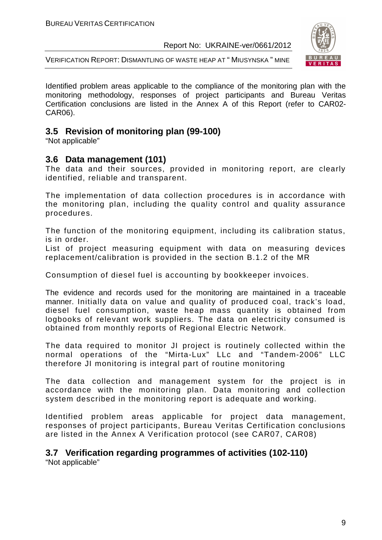

VERIFICATION REPORT: DISMANTLING OF WASTE HEAP AT " MIUSYNSKA " MINE

Identified problem areas applicable to the compliance of the monitoring plan with the monitoring methodology, responses of project participants and Bureau Veritas Certification conclusions are listed in the Annex A of this Report (refer to CAR02- CAR06).

# **3.5 Revision of monitoring plan (99-100)**

"Not applicable"

### **3.6 Data management (101)**

The data and their sources, provided in monitoring report, are clearly identified, reliable and transparent.

The implementation of data collection procedures is in accordance with the monitoring plan, including the quality control and quality assurance procedures.

The function of the monitoring equipment, including its calibration status, is in order.

List of project measuring equipment with data on measuring devices replacement/calibration is provided in the section B.1.2 of the MR

Consumption of diesel fuel is accounting by bookkeeper invoices.

The evidence and records used for the monitoring are maintained in a traceable manner. Initially data on value and quality of produced coal, track's load, diesel fuel consumption, waste heap mass quantity is obtained from logbooks of relevant work suppliers. The data on electricity consumed is obtained from monthly reports of Regional Electric Network.

The data required to monitor JI project is routinely collected within the normal operations of the "Mirta-Lux" LLc and "Tandem-2006" LLC therefore JI monitoring is integral part of routine monitoring

The data collection and management system for the project is in accordance with the monitoring plan. Data monitoring and collection system described in the monitoring report is adequate and working.

Identified problem areas applicable for project data management, responses of project participants, Bureau Veritas Certification conclusions are listed in the Annex A Verification protocol (see CAR07, CAR08)

# **3.7 Verification regarding programmes of activities (102-110)**

"Not applicable"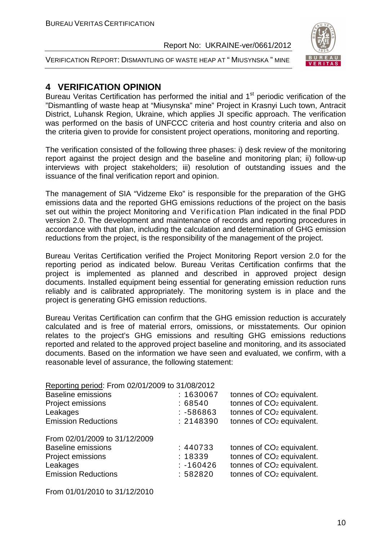

VERIFICATION REPORT: DISMANTLING OF WASTE HEAP AT " MIUSYNSKA " MINE

# **4 VERIFICATION OPINION**

Bureau Veritas Certification has performed the initial and  $1<sup>st</sup>$  periodic verification of the "Dismantling of waste heap at "Miusynska" mine" Project in Krasnyi Luch town, Antracit District, Luhansk Region, Ukraine, which applies JI specific approach. The verification was performed on the basis of UNFCCC criteria and host country criteria and also on the criteria given to provide for consistent project operations, monitoring and reporting.

The verification consisted of the following three phases: i) desk review of the monitoring report against the project design and the baseline and monitoring plan; ii) follow-up interviews with project stakeholders; iii) resolution of outstanding issues and the issuance of the final verification report and opinion.

The management of SIA "Vidzeme Eko" is responsible for the preparation of the GHG emissions data and the reported GHG emissions reductions of the project on the basis set out within the project Monitoring and Verification Plan indicated in the final PDD version 2.0. The development and maintenance of records and reporting procedures in accordance with that plan, including the calculation and determination of GHG emission reductions from the project, is the responsibility of the management of the project.

Bureau Veritas Certification verified the Project Monitoring Report version 2.0 for the reporting period as indicated below. Bureau Veritas Certification confirms that the project is implemented as planned and described in approved project design documents. Installed equipment being essential for generating emission reduction runs reliably and is calibrated appropriately. The monitoring system is in place and the project is generating GHG emission reductions.

Bureau Veritas Certification can confirm that the GHG emission reduction is accurately calculated and is free of material errors, omissions, or misstatements. Our opinion relates to the project's GHG emissions and resulting GHG emissions reductions reported and related to the approved project baseline and monitoring, and its associated documents. Based on the information we have seen and evaluated, we confirm, with a reasonable level of assurance, the following statement:

| Reporting period: From 02/01/2009 to 31/08/2012 |             |                                       |
|-------------------------------------------------|-------------|---------------------------------------|
| <b>Baseline emissions</b>                       | : 1630067   | tonnes of CO <sub>2</sub> equivalent. |
| Project emissions                               | :68540      | tonnes of CO <sub>2</sub> equivalent. |
| Leakages                                        | $: -586863$ | tonnes of CO <sub>2</sub> equivalent. |
| <b>Emission Reductions</b>                      | : 2148390   | tonnes of CO <sub>2</sub> equivalent. |
| From 02/01/2009 to 31/12/2009                   |             |                                       |
| <b>Baseline emissions</b>                       | : 440733    | tonnes of CO <sub>2</sub> equivalent. |
| Project emissions                               | : 18339     | tonnes of CO <sub>2</sub> equivalent. |
| Leakages                                        | $: -160426$ | tonnes of CO <sub>2</sub> equivalent. |
| <b>Emission Reductions</b>                      | :582820     | tonnes of CO <sub>2</sub> equivalent. |

From 01/01/2010 to 31/12/2010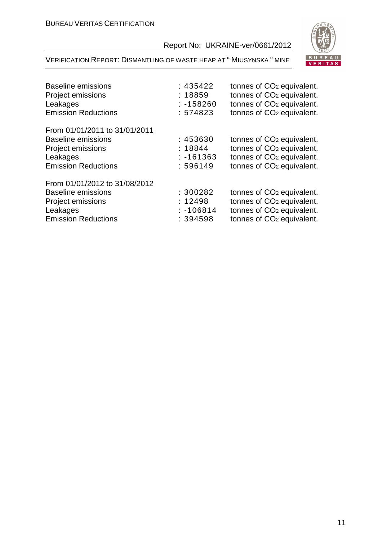

| <b>Baseline emissions</b><br><b>Project emissions</b><br>Leakages<br><b>Emission Reductions</b>                                  | : 435422<br>: 18859<br>$: -158260$<br>: 574823 | tonnes of CO <sub>2</sub> equivalent.<br>tonnes of CO <sub>2</sub> equivalent.<br>tonnes of CO <sub>2</sub> equivalent.<br>tonnes of CO <sub>2</sub> equivalent. |
|----------------------------------------------------------------------------------------------------------------------------------|------------------------------------------------|------------------------------------------------------------------------------------------------------------------------------------------------------------------|
| From 01/01/2011 to 31/01/2011<br>Baseline emissions<br><b>Project emissions</b><br>Leakages<br><b>Emission Reductions</b>        | : 453630<br>: 18844<br>$: -161363$<br>: 596149 | tonnes of CO <sub>2</sub> equivalent.<br>tonnes of CO <sub>2</sub> equivalent.<br>tonnes of CO <sub>2</sub> equivalent.<br>tonnes of CO <sub>2</sub> equivalent. |
| From 01/01/2012 to 31/08/2012<br><b>Baseline emissions</b><br><b>Project emissions</b><br>Leakages<br><b>Emission Reductions</b> | :300282<br>: 12498<br>$: -106814$<br>: 394598  | tonnes of CO <sub>2</sub> equivalent.<br>tonnes of CO <sub>2</sub> equivalent.<br>tonnes of CO <sub>2</sub> equivalent.<br>tonnes of CO <sub>2</sub> equivalent. |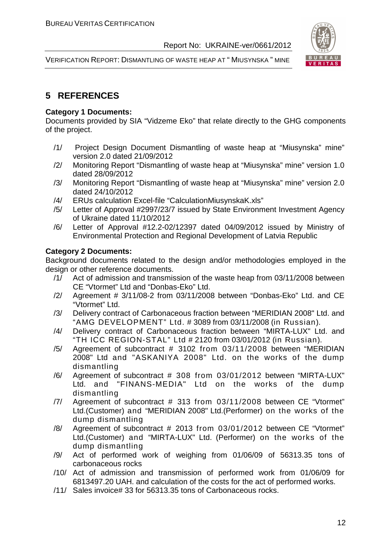

VERIFICATION REPORT: DISMANTLING OF WASTE HEAP AT " MIUSYNSKA " MINE

# **5 REFERENCES**

#### **Category 1 Documents:**

Documents provided by SIA "Vidzeme Eko" that relate directly to the GHG components of the project.

- /1/ Project Design Document Dismantling of waste heap at "Miusynska" mine" version 2.0 dated 21/09/2012
- /2/ Monitoring Report "Dismantling of waste heap at "Miusynska" mine" version 1.0 dated 28/09/2012
- /3/ Monitoring Report "Dismantling of waste heap at "Miusynska" mine" version 2.0 dated 24/10/2012
- /4/ ERUs calculation Excel-file "CalculationMiusynskaK.xls"
- /5/ Letter of Approval #2997/23/7 issued by State Environment Investment Agency of Ukraine dated 11/10/2012
- /6/ Letter of Approval #12.2-02/12397 dated 04/09/2012 issued by Ministry of Environmental Protection and Regional Development of Latvia Republic

#### **Category 2 Documents:**

Background documents related to the design and/or methodologies employed in the design or other reference documents.

- /1/ Act of admission and transmission of the waste heap from 03/11/2008 between CE "Vtormet" Ltd and "Donbas-Eko" Ltd.
- /2/ Agreement # 3/11/08-2 from 03/11/2008 between "Donbas-Eko" Ltd. and CE "Vtormet" Ltd.
- /3/ Delivery contract of Carbonaceous fraction between "MERIDIAN 2008" Ltd. and "AMG DEVELOPMENT" Ltd. # 3089 from 03/11/2008 (in Russian).
- /4/ Delivery contract of Carbonaceous fraction between "MIRTA-LUX" Ltd. and "TH ICC REGION-STAL" Ltd # 2120 from 03/01/2012 (in Russian).
- /5/ Agreement of subcontract # 3102 from 03/11/2008 between "MERIDIAN 2008" Ltd and "ASKANIYA 2008" Ltd. on the works of the dump dismantling
- /6/ Agreement of subcontract # 308 from 03/01/2012 between "MIRTA-LUX" Ltd. and "FINANS-MEDIA" Ltd on the works of the dump dismantling
- /7/ Agreement of subcontract # 313 from 03/11/2008 between CE "Vtormet" Ltd.(Customer) and "MERIDIAN 2008" Ltd.(Performer) on the works of the dump dismantling
- /8/ Agreement of subcontract # 2013 from 03/01/2012 between CE "Vtormet" Ltd.(Customer) and "MIRTA-LUX" Ltd. (Performer) on the works of the dump dismantling
- /9/ Act of performed work of weighing from 01/06/09 of 56313.35 tons of carbonaceous rocks
- /10/ Act of admission and transmission of performed work from 01/06/09 for 6813497.20 UAH. and calculation of the costs for the act of performed works.
- /11/ Sales invoice# 33 for 56313.35 tons of Carbonaceous rocks.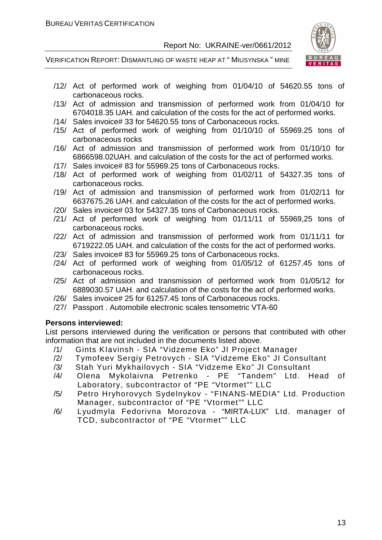

VERIFICATION REPORT: DISMANTLING OF WASTE HEAP AT " MIUSYNSKA " MINE

- /12/ Act of performed work of weighing from 01/04/10 of 54620.55 tons of carbonaceous rocks.
- /13/ Act of admission and transmission of performed work from 01/04/10 for 6704018.35 UAH. and calculation of the costs for the act of performed works.
- /14/ Sales invoice# 33 for 54620.55 tons of Carbonaceous rocks.
- /15/ Act of performed work of weighing from 01/10/10 of 55969.25 tons of carbonaceous rocks
- /16/ Act of admission and transmission of performed work from 01/10/10 for 6866598.02UAH. and calculation of the costs for the act of performed works.
- /17/ Sales invoice# 83 for 55969.25 tons of Carbonaceous rocks.
- /18/ Act of performed work of weighing from 01/02/11 of 54327.35 tons of carbonaceous rocks.
- /19/ Act of admission and transmission of performed work from 01/02/11 for 6637675.26 UAH. and calculation of the costs for the act of performed works.
- /20/ Sales invoice# 03 for 54327.35 tons of Carbonaceous rocks.
- /21/ Act of performed work of weighing from 01/11/11 of 55969,25 tons of carbonaceous rocks.
- /22/ Act of admission and transmission of performed work from 01/11/11 for 6719222.05 UAH. and calculation of the costs for the act of performed works.
- /23/ Sales invoice# 83 for 55969.25 tons of Carbonaceous rocks.
- /24/ Act of performed work of weighing from 01/05/12 of 61257.45 tons of carbonaceous rocks.
- /25/ Act of admission and transmission of performed work from 01/05/12 for 6889030.57 UAH. and calculation of the costs for the act of performed works.
- /26/ Sales invoice# 25 for 61257.45 tons of Carbonaceous rocks.
- /27/ Passport . Automobile electronic scales tensometric VTA-60

#### **Persons interviewed:**

List persons interviewed during the verification or persons that contributed with other information that are not included in the documents listed above.

- /1/ Gints KIavinsh SIA "Vidzeme Eko" JI Project Manager
- /2/ Tymofeev Sergiy Petrovych SIA "Vidzeme Eko" JI Consultant
- /3/ Stah Yuri Mykhailovych SIA "Vidzeme Eko" JI Consultant
- /4/ Olena Mykolaivna Petrenko PE "Tandem" Ltd. Head of Laboratory, subcontractor of "PE "Vtormet"" LLC
- /5/ Petro Hryhorovych Sydelnykov "FINANS-MEDIA" Ltd. Production Manager, subcontractor of "PE "Vtormet"" LLC
- /6/ Lyudmyla Fedorivna Morozova "MIRTA-LUX" Ltd. manager of TCD, subcontractor of "PE "Vtormet"" LLC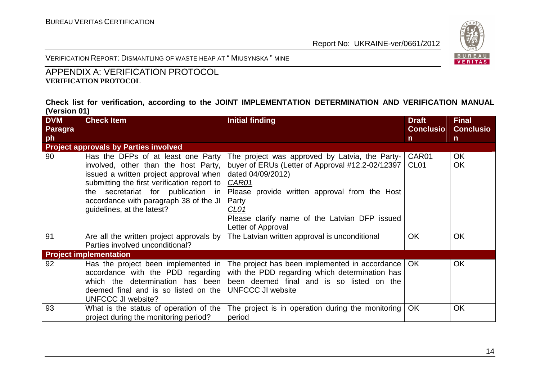

VERIFICATION REPORT: DISMANTLING OF WASTE HEAP AT " <sup>M</sup>IUSYNSKA " MINE

# APPENDIX A: VERIFICATION PROTOCOL **VERIFICATION PROTOCOL**

#### **Check list for verification, according to the JOINT IMPLEMENTATION DETERMINATION AND VERIFICATION MANUAL (Version 01)**

| <b>DVM</b> | <b>Check Item</b>                                                                                                                                                                                                                                                                 | <b>Initial finding</b>                                                                                                                                                                                                                                                                       | <b>Draft</b>              | <b>Final</b>           |
|------------|-----------------------------------------------------------------------------------------------------------------------------------------------------------------------------------------------------------------------------------------------------------------------------------|----------------------------------------------------------------------------------------------------------------------------------------------------------------------------------------------------------------------------------------------------------------------------------------------|---------------------------|------------------------|
| Paragra    |                                                                                                                                                                                                                                                                                   |                                                                                                                                                                                                                                                                                              | <b>Conclusio</b>          | <b>Conclusio</b>       |
| ph         |                                                                                                                                                                                                                                                                                   |                                                                                                                                                                                                                                                                                              | $\mathsf{n}$              | $\mathsf{n}$           |
|            | <b>Project approvals by Parties involved</b>                                                                                                                                                                                                                                      |                                                                                                                                                                                                                                                                                              |                           |                        |
| 90         | Has the DFPs of at least one Party<br>involved, other than the host Party,<br>issued a written project approval when<br>submitting the first verification report to<br>the secretariat for publication in<br>accordance with paragraph 38 of the JI<br>guidelines, at the latest? | The project was approved by Latvia, the Party-<br>buyer of ERUs (Letter of Approval #12.2-02/12397<br>dated 04/09/2012)<br><b>CAR01</b><br>Please provide written approval from the Host<br>Party<br>CL <sub>01</sub><br>Please clarify name of the Latvian DFP issued<br>Letter of Approval | CAR01<br>CL <sub>01</sub> | <b>OK</b><br><b>OK</b> |
| 91         | Are all the written project approvals by<br>Parties involved unconditional?                                                                                                                                                                                                       | The Latvian written approval is unconditional                                                                                                                                                                                                                                                | <b>OK</b>                 | OK                     |
|            | <b>Project implementation</b>                                                                                                                                                                                                                                                     |                                                                                                                                                                                                                                                                                              |                           |                        |
| 92         | Has the project been implemented in<br>accordance with the PDD regarding<br>which the determination has been<br>deemed final and is so listed on the<br><b>UNFCCC JI website?</b>                                                                                                 | The project has been implemented in accordance   OK<br>with the PDD regarding which determination has<br>been deemed final and is so listed on the<br><b>UNFCCC JI website</b>                                                                                                               |                           | <b>OK</b>              |
| 93         | What is the status of operation of the<br>project during the monitoring period?                                                                                                                                                                                                   | The project is in operation during the monitoring<br>period                                                                                                                                                                                                                                  | OK.                       | <b>OK</b>              |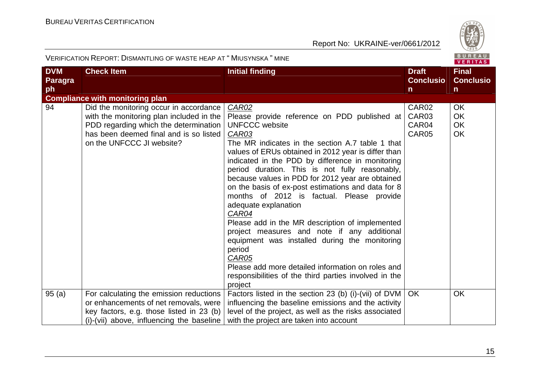

| <b>DVM</b>     | <b>Check Item</b>                                                                                                                                                                                  | <b>Initial finding</b>                                                                                                                                                                                                                                                                                                                                                                                                                                                                                                                                                                                                                                                                                                                                                                                 | <b>Draft</b>                                             | <b>Final</b>                              |
|----------------|----------------------------------------------------------------------------------------------------------------------------------------------------------------------------------------------------|--------------------------------------------------------------------------------------------------------------------------------------------------------------------------------------------------------------------------------------------------------------------------------------------------------------------------------------------------------------------------------------------------------------------------------------------------------------------------------------------------------------------------------------------------------------------------------------------------------------------------------------------------------------------------------------------------------------------------------------------------------------------------------------------------------|----------------------------------------------------------|-------------------------------------------|
| <b>Paragra</b> |                                                                                                                                                                                                    |                                                                                                                                                                                                                                                                                                                                                                                                                                                                                                                                                                                                                                                                                                                                                                                                        | <b>Conclusio</b>                                         | <b>Conclusio</b>                          |
| <b>ph</b>      |                                                                                                                                                                                                    |                                                                                                                                                                                                                                                                                                                                                                                                                                                                                                                                                                                                                                                                                                                                                                                                        | $\mathsf{n}$                                             | $\mathsf{n}$                              |
|                | <b>Compliance with monitoring plan</b>                                                                                                                                                             |                                                                                                                                                                                                                                                                                                                                                                                                                                                                                                                                                                                                                                                                                                                                                                                                        |                                                          |                                           |
| 94             | Did the monitoring occur in accordance<br>with the monitoring plan included in the<br>PDD regarding which the determination<br>has been deemed final and is so listed<br>on the UNFCCC JI website? | CAR02<br>Please provide reference on PDD published at<br><b>UNFCCC</b> website<br><b>CAR03</b><br>The MR indicates in the section A.7 table 1 that<br>values of ERUs obtained in 2012 year is differ than<br>indicated in the PDD by difference in monitoring<br>period duration. This is not fully reasonably,<br>because values in PDD for 2012 year are obtained<br>on the basis of ex-post estimations and data for 8<br>months of 2012 is factual. Please provide<br>adequate explanation<br>CAR04<br>Please add in the MR description of implemented<br>project measures and note if any additional<br>equipment was installed during the monitoring<br>period<br>CAR05<br>Please add more detailed information on roles and<br>responsibilities of the third parties involved in the<br>project | CAR <sub>02</sub><br>CAR <sub>03</sub><br>CAR04<br>CAR05 | <b>OK</b><br><b>OK</b><br><b>OK</b><br>OK |
| 95(a)          | For calculating the emission reductions                                                                                                                                                            | Factors listed in the section 23 (b) (i)-(vii) of DVM                                                                                                                                                                                                                                                                                                                                                                                                                                                                                                                                                                                                                                                                                                                                                  | OK.                                                      | <b>OK</b>                                 |
|                | or enhancements of net removals, were                                                                                                                                                              | influencing the baseline emissions and the activity                                                                                                                                                                                                                                                                                                                                                                                                                                                                                                                                                                                                                                                                                                                                                    |                                                          |                                           |
|                | key factors, e.g. those listed in 23 (b)                                                                                                                                                           | level of the project, as well as the risks associated                                                                                                                                                                                                                                                                                                                                                                                                                                                                                                                                                                                                                                                                                                                                                  |                                                          |                                           |
|                | (i)-(vii) above, influencing the baseline                                                                                                                                                          | with the project are taken into account                                                                                                                                                                                                                                                                                                                                                                                                                                                                                                                                                                                                                                                                                                                                                                |                                                          |                                           |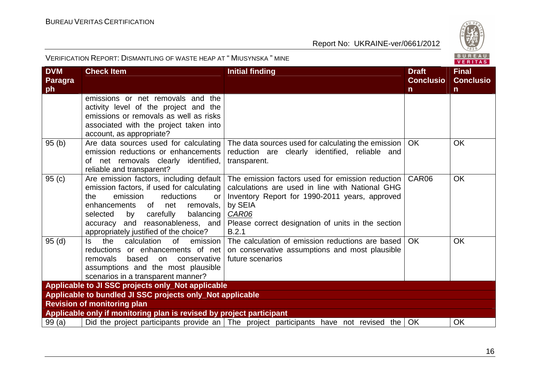

| <b>DVM</b><br>Paragra<br>ph | <b>Check Item</b>                                                                                                                                                                                                                                                                      | <b>Initial finding</b>                                                                                                                                                                                                                          | <b>Draft</b><br><b>Conclusio</b><br>n. | <b>Final</b><br><b>Conclusio</b><br>$\mathsf{n}$ |
|-----------------------------|----------------------------------------------------------------------------------------------------------------------------------------------------------------------------------------------------------------------------------------------------------------------------------------|-------------------------------------------------------------------------------------------------------------------------------------------------------------------------------------------------------------------------------------------------|----------------------------------------|--------------------------------------------------|
|                             | emissions or net removals and the<br>activity level of the project and the<br>emissions or removals as well as risks<br>associated with the project taken into<br>account, as appropriate?                                                                                             |                                                                                                                                                                                                                                                 |                                        |                                                  |
| 95(b)                       | Are data sources used for calculating<br>emission reductions or enhancements<br>of net removals clearly identified,<br>reliable and transparent?                                                                                                                                       | The data sources used for calculating the emission<br>reduction are clearly identified, reliable and<br>transparent.                                                                                                                            | <b>OK</b>                              | <b>OK</b>                                        |
| 95(c)                       | Are emission factors, including default<br>emission factors, if used for calculating<br>emission<br>reductions<br>the<br>or<br>enhancements of net<br>removals,<br>by carefully<br>balancing<br>selected<br>accuracy and reasonableness, and<br>appropriately justified of the choice? | The emission factors used for emission reduction<br>calculations are used in line with National GHG<br>Inventory Report for 1990-2011 years, approved<br>by SEIA<br><b>CAR06</b><br>Please correct designation of units in the section<br>B.2.1 | CAR06                                  | <b>OK</b>                                        |
| 95(d)                       | calculation<br>of<br>ls.<br>the<br>emission<br>reductions or enhancements of net<br>removals<br>based<br>conservative<br>on<br>assumptions and the most plausible<br>scenarios in a transparent manner?                                                                                | The calculation of emission reductions are based<br>on conservative assumptions and most plausible<br>future scenarios                                                                                                                          | <b>OK</b>                              | <b>OK</b>                                        |
|                             | Applicable to JI SSC projects only_Not applicable                                                                                                                                                                                                                                      |                                                                                                                                                                                                                                                 |                                        |                                                  |
|                             | Applicable to bundled JI SSC projects only_Not applicable                                                                                                                                                                                                                              |                                                                                                                                                                                                                                                 |                                        |                                                  |
|                             | <b>Revision of monitoring plan</b><br>Applicable only if monitoring plan is revised by project participant                                                                                                                                                                             |                                                                                                                                                                                                                                                 |                                        |                                                  |
| 99(a)                       |                                                                                                                                                                                                                                                                                        | Did the project participants provide an   The project participants have not revised the                                                                                                                                                         | OK                                     | OK                                               |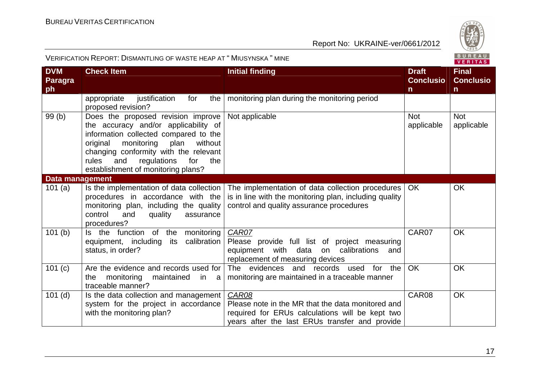

| <b>DVM</b><br><b>Paragra</b><br>ph | <b>Check Item</b>                                                                                                                                                                                                                                                                         | <b>Initial finding</b>                                                                                                                                          | <b>Draft</b><br><b>Conclusio</b><br>$\mathsf{n}$ | <b>Final</b><br><b>Conclusio</b><br>$\mathsf{n}$ |
|------------------------------------|-------------------------------------------------------------------------------------------------------------------------------------------------------------------------------------------------------------------------------------------------------------------------------------------|-----------------------------------------------------------------------------------------------------------------------------------------------------------------|--------------------------------------------------|--------------------------------------------------|
|                                    | appropriate<br>justification<br>the<br>for<br>proposed revision?                                                                                                                                                                                                                          | monitoring plan during the monitoring period                                                                                                                    |                                                  |                                                  |
| 99(b)                              | Does the proposed revision improve<br>the accuracy and/or applicability of<br>information collected compared to the<br>monitoring<br>plan<br>without<br>original<br>changing conformity with the relevant<br>rules and<br>regulations<br>for<br>the<br>establishment of monitoring plans? | Not applicable                                                                                                                                                  | <b>Not</b><br>applicable                         | <b>Not</b><br>applicable                         |
| <b>Data management</b>             |                                                                                                                                                                                                                                                                                           |                                                                                                                                                                 |                                                  |                                                  |
| 101 $(a)$                          | Is the implementation of data collection<br>procedures in accordance with the<br>monitoring plan, including the quality<br>control<br>and<br>quality<br>assurance<br>procedures?                                                                                                          | The implementation of data collection procedures<br>is in line with the monitoring plan, including quality<br>control and quality assurance procedures          | OK.                                              | OK                                               |
| 101(b)                             | Is the function of the<br>monitoring<br>calibration<br>equipment, including<br>its<br>status, in order?                                                                                                                                                                                   | CAR07<br>Please provide full list of project measuring<br>equipment with data on calibrations<br>and<br>replacement of measuring devices                        | CAR07                                            | <b>OK</b>                                        |
| 101(c)                             | Are the evidence and records used for<br>monitoring<br>the<br>maintained<br>in a<br>traceable manner?                                                                                                                                                                                     | The evidences<br>and records used for the<br>monitoring are maintained in a traceable manner                                                                    | OK                                               | <b>OK</b>                                        |
| $101$ (d)                          | Is the data collection and management<br>system for the project in accordance<br>with the monitoring plan?                                                                                                                                                                                | CAR08<br>Please note in the MR that the data monitored and<br>required for ERUs calculations will be kept two<br>years after the last ERUs transfer and provide | CAR08                                            | OK                                               |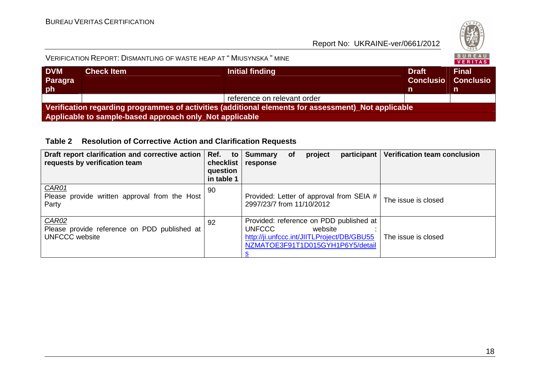

# VERIFICATION REPORT: DISMANTLING OF WASTE HEAP AT " <sup>M</sup>IUSYNSKA " MINE

| <b>DVM</b><br><b>Paragra</b><br> ph | <b>Check Item</b>                                       | Initial finding                                                                                     | <b>Draft</b><br><b>Conclusio Conclusio</b> | <b>Final</b> |  |  |
|-------------------------------------|---------------------------------------------------------|-----------------------------------------------------------------------------------------------------|--------------------------------------------|--------------|--|--|
|                                     |                                                         | reference on relevant order                                                                         |                                            |              |  |  |
|                                     |                                                         | Verification regarding programmes of activities (additional elements for assessment) Not applicable |                                            |              |  |  |
|                                     | Applicable to sample-based approach only Not applicable |                                                                                                     |                                            |              |  |  |

#### **Table 2 Resolution of Corrective Action and Clarification Requests**

| Draft report clarification and corrective action  <br>requests by verification team   | Ref.<br>to<br>checklist<br>question<br>in table 1 | <b>Verification team conclusion</b><br>participant<br><b>Summary</b><br>project<br><b>of</b><br>response                                                                     |  |
|---------------------------------------------------------------------------------------|---------------------------------------------------|------------------------------------------------------------------------------------------------------------------------------------------------------------------------------|--|
| CAR01<br>Please provide written approval from the Host<br>Party                       | 90                                                | Provided: Letter of approval from SEIA #<br>The issue is closed<br>2997/23/7 from 11/10/2012                                                                                 |  |
| <b>CAR02</b><br>Please provide reference on PDD published at<br><b>UNFCCC</b> website | 92                                                | Provided: reference on PDD published at<br><b>UNFCCC</b><br>website<br>http://ji.unfccc.int/JIITLProject/DB/GBU55<br>The issue is closed<br>NZMATOE3F91T1D015GYH1P6Y5/detail |  |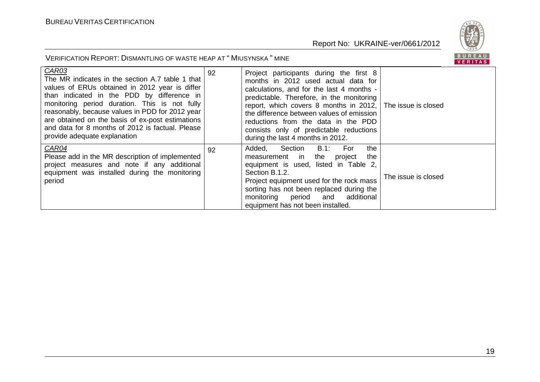

| CAR03<br>The MR indicates in the section A.7 table 1 that<br>values of ERUs obtained in 2012 year is differ<br>than indicated in the PDD by difference in<br>monitoring period duration. This is not fully<br>reasonably, because values in PDD for 2012 year<br>are obtained on the basis of ex-post estimations<br>and data for 8 months of 2012 is factual. Please<br>provide adequate explanation | 92 | Project participants during the first 8<br>months in 2012 used actual data for<br>calculations, and for the last 4 months -<br>predictable. Therefore, in the monitoring<br>report, which covers 8 months in 2012, The issue is closed<br>the difference between values of emission<br>reductions from the data in the PDD<br>consists only of predictable reductions<br>during the last 4 months in 2012. |                     |
|-------------------------------------------------------------------------------------------------------------------------------------------------------------------------------------------------------------------------------------------------------------------------------------------------------------------------------------------------------------------------------------------------------|----|------------------------------------------------------------------------------------------------------------------------------------------------------------------------------------------------------------------------------------------------------------------------------------------------------------------------------------------------------------------------------------------------------------|---------------------|
| CAR04<br>Please add in the MR description of implemented<br>project measures and note if any additional<br>equipment was installed during the monitoring<br>period                                                                                                                                                                                                                                    | 92 | B.1:<br>Section<br>For<br>the<br>Added,<br>measurement in the<br>the<br>project<br>equipment is used, listed in Table 2,<br>Section B.1.2.<br>Project equipment used for the rock mass<br>sorting has not been replaced during the<br>monitoring period<br>and additional<br>equipment has not been installed.                                                                                             | The issue is closed |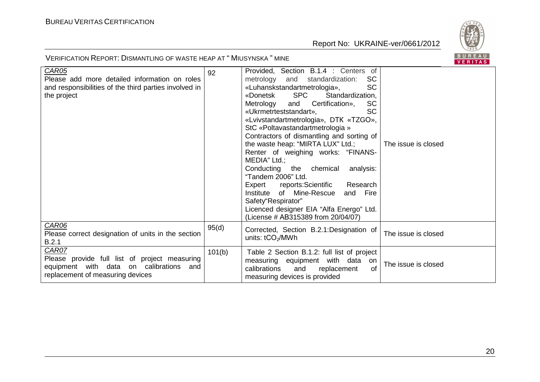

| <b>CAR05</b>                                          | 92     | Provided, Section B.1.4 : Centers of           |                     |
|-------------------------------------------------------|--------|------------------------------------------------|---------------------|
| Please add more detailed information on roles         |        | <b>SC</b><br>metrology<br>and standardization: |                     |
| and responsibilities of the third parties involved in |        | <b>SC</b><br>«Luhanskstandartmetrologia»,      |                     |
| the project                                           |        | <b>SPC</b><br>Standardization,<br>«Donetsk     |                     |
|                                                       |        | <b>SC</b><br>Metrology<br>and Certification»,  |                     |
|                                                       |        | <b>SC</b><br>«Ukrmetrteststandart»,            |                     |
|                                                       |        |                                                |                     |
|                                                       |        | «Lvivstandartmetrologia», DTK «TZGO»,          |                     |
|                                                       |        | StC «Poltavastandartmetrologia »               |                     |
|                                                       |        | Contractors of dismantling and sorting of      |                     |
|                                                       |        | the waste heap: "MIRTA LUX" Ltd.;              | The issue is closed |
|                                                       |        | Renter of weighing works: "FINANS-             |                     |
|                                                       |        | MEDIA" Ltd.;                                   |                     |
|                                                       |        | Conducting the chemical<br>analysis:           |                     |
|                                                       |        | "Tandem 2006" Ltd.                             |                     |
|                                                       |        | Expert reports: Scientific<br>Research         |                     |
|                                                       |        | Institute of Mine-Rescue<br>Fire<br>and        |                     |
|                                                       |        | Safety"Respirator"                             |                     |
|                                                       |        | Licenced designer EIA "Alfa Energo" Ltd.       |                     |
|                                                       |        | (License # AB315389 from 20/04/07)             |                     |
| CAR06                                                 | 95(d)  |                                                |                     |
| Please correct designation of units in the section    |        | Corrected, Section B.2.1: Designation of       | The issue is closed |
| B.2.1                                                 |        | units: tCO <sub>2</sub> /MWh                   |                     |
| CAR07                                                 |        |                                                |                     |
| Please provide full list of project measuring         | 101(b) | Table 2 Section B.1.2: full list of project    |                     |
|                                                       |        | measuring equipment with data<br>on on         | The issue is closed |
| equipment with data on calibrations and               |        | $\Omega$<br>and<br>calibrations<br>replacement |                     |
| replacement of measuring devices                      |        | measuring devices is provided                  |                     |